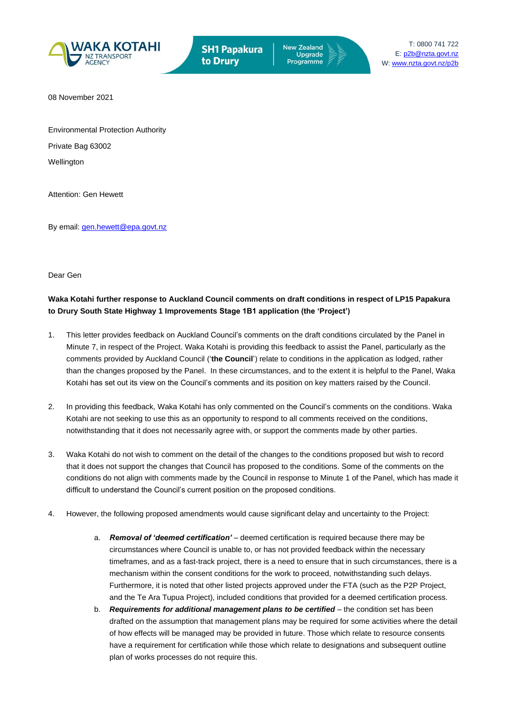

**SH1 Papakura** to Drury



08 November 2021

Environmental Protection Authority Private Bag 63002 **Wellington** 

Attention: Gen Hewett

By email: [gen.hewett@epa.govt.nz](mailto:gen.hewett@epa.govt.nz)

Dear Gen

## **Waka Kotahi further response to Auckland Council comments on draft conditions in respect of LP15 Papakura to Drury South State Highway 1 Improvements Stage 1B1 application (the 'Project')**

- 1. This letter provides feedback on Auckland Council's comments on the draft conditions circulated by the Panel in Minute 7, in respect of the Project. Waka Kotahi is providing this feedback to assist the Panel, particularly as the comments provided by Auckland Council ('**the Council**') relate to conditions in the application as lodged, rather than the changes proposed by the Panel. In these circumstances, and to the extent it is helpful to the Panel, Waka Kotahi has set out its view on the Council's comments and its position on key matters raised by the Council.
- 2. In providing this feedback, Waka Kotahi has only commented on the Council's comments on the conditions. Waka Kotahi are not seeking to use this as an opportunity to respond to all comments received on the conditions, notwithstanding that it does not necessarily agree with, or support the comments made by other parties.
- 3. Waka Kotahi do not wish to comment on the detail of the changes to the conditions proposed but wish to record that it does not support the changes that Council has proposed to the conditions. Some of the comments on the conditions do not align with comments made by the Council in response to Minute 1 of the Panel, which has made it difficult to understand the Council's current position on the proposed conditions.
- 4. However, the following proposed amendments would cause significant delay and uncertainty to the Project:
	- a. *Removal of 'deemed certification'* deemed certification is required because there may be circumstances where Council is unable to, or has not provided feedback within the necessary timeframes, and as a fast-track project, there is a need to ensure that in such circumstances, there is a mechanism within the consent conditions for the work to proceed, notwithstanding such delays. Furthermore, it is noted that other listed projects approved under the FTA (such as the P2P Project, and the Te Ara Tupua Project), included conditions that provided for a deemed certification process.
	- b. *Requirements for additional management plans to be certified* the condition set has been drafted on the assumption that management plans may be required for some activities where the detail of how effects will be managed may be provided in future. Those which relate to resource consents have a requirement for certification while those which relate to designations and subsequent outline plan of works processes do not require this.